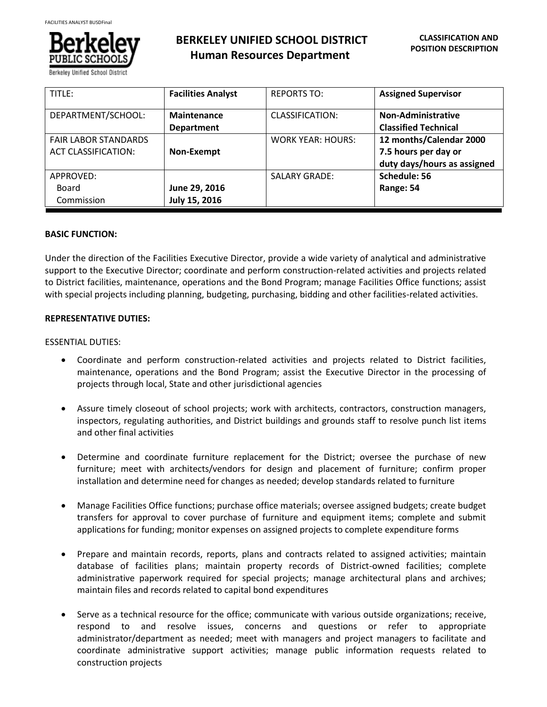

**BERKELEY UNIFIED SCHOOL DISTRICT Human Resources Department**

| TITLE:                      | <b>Facilities Analyst</b> | <b>REPORTS TO:</b>       | <b>Assigned Supervisor</b>  |
|-----------------------------|---------------------------|--------------------------|-----------------------------|
| DEPARTMENT/SCHOOL:          | Maintenance               | CLASSIFICATION:          | Non-Administrative          |
|                             | <b>Department</b>         |                          | <b>Classified Technical</b> |
| <b>FAIR LABOR STANDARDS</b> |                           | <b>WORK YEAR: HOURS:</b> | 12 months/Calendar 2000     |
| <b>ACT CLASSIFICATION:</b>  | Non-Exempt                |                          | 7.5 hours per day or        |
|                             |                           |                          | duty days/hours as assigned |
| APPROVED:                   |                           | <b>SALARY GRADE:</b>     | Schedule: 56                |
| Board                       | June 29, 2016             |                          | Range: 54                   |
| Commission                  | July 15, 2016             |                          |                             |

# **BASIC FUNCTION:**

Under the direction of the Facilities Executive Director, provide a wide variety of analytical and administrative support to the Executive Director; coordinate and perform construction-related activities and projects related to District facilities, maintenance, operations and the Bond Program; manage Facilities Office functions; assist with special projects including planning, budgeting, purchasing, bidding and other facilities-related activities.

# **REPRESENTATIVE DUTIES:**

#### ESSENTIAL DUTIES:

- Coordinate and perform construction-related activities and projects related to District facilities, maintenance, operations and the Bond Program; assist the Executive Director in the processing of projects through local, State and other jurisdictional agencies
- Assure timely closeout of school projects; work with architects, contractors, construction managers, inspectors, regulating authorities, and District buildings and grounds staff to resolve punch list items and other final activities
- Determine and coordinate furniture replacement for the District; oversee the purchase of new furniture; meet with architects/vendors for design and placement of furniture; confirm proper installation and determine need for changes as needed; develop standards related to furniture
- Manage Facilities Office functions; purchase office materials; oversee assigned budgets; create budget transfers for approval to cover purchase of furniture and equipment items; complete and submit applications for funding; monitor expenses on assigned projects to complete expenditure forms
- Prepare and maintain records, reports, plans and contracts related to assigned activities; maintain database of facilities plans; maintain property records of District-owned facilities; complete administrative paperwork required for special projects; manage architectural plans and archives; maintain files and records related to capital bond expenditures
- Serve as a technical resource for the office; communicate with various outside organizations; receive, respond to and resolve issues, concerns and questions or refer to appropriate administrator/department as needed; meet with managers and project managers to facilitate and coordinate administrative support activities; manage public information requests related to construction projects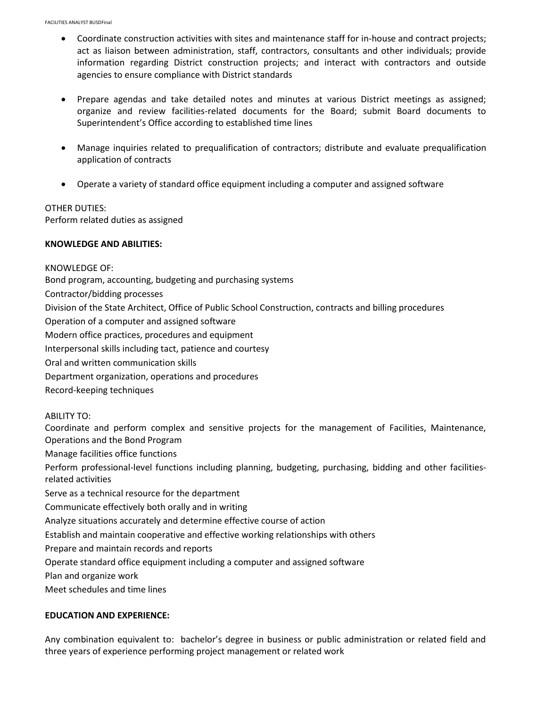- Coordinate construction activities with sites and maintenance staff for in-house and contract projects; act as liaison between administration, staff, contractors, consultants and other individuals; provide information regarding District construction projects; and interact with contractors and outside agencies to ensure compliance with District standards
- Prepare agendas and take detailed notes and minutes at various District meetings as assigned; organize and review facilities-related documents for the Board; submit Board documents to Superintendent's Office according to established time lines
- Manage inquiries related to prequalification of contractors; distribute and evaluate prequalification application of contracts
- Operate a variety of standard office equipment including a computer and assigned software

#### OTHER DUTIES:

Perform related duties as assigned

#### **KNOWLEDGE AND ABILITIES:**

KNOWLEDGE OF: Bond program, accounting, budgeting and purchasing systems Contractor/bidding processes Division of the State Architect, Office of Public School Construction, contracts and billing procedures Operation of a computer and assigned software Modern office practices, procedures and equipment Interpersonal skills including tact, patience and courtesy Oral and written communication skills Department organization, operations and procedures Record-keeping techniques ABILITY TO: Coordinate and perform complex and sensitive projects for the management of Facilities, Maintenance, Operations and the Bond Program Manage facilities office functions Perform professional-level functions including planning, budgeting, purchasing, bidding and other facilitiesrelated activities Serve as a technical resource for the department Communicate effectively both orally and in writing Analyze situations accurately and determine effective course of action Establish and maintain cooperative and effective working relationships with others Prepare and maintain records and reports Operate standard office equipment including a computer and assigned software Plan and organize work Meet schedules and time lines

# **EDUCATION AND EXPERIENCE:**

Any combination equivalent to: bachelor's degree in business or public administration or related field and three years of experience performing project management or related work